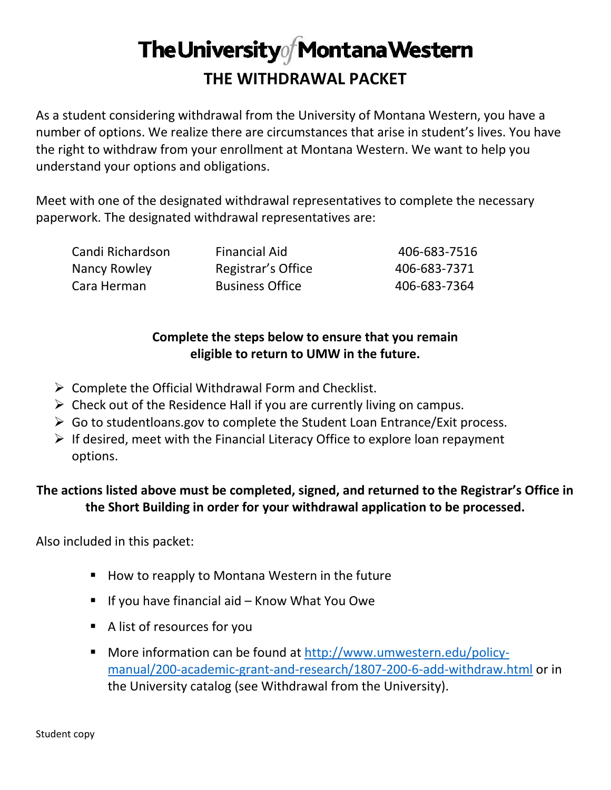## The University of Montana Western **THE WITHDRAWAL PACKET**

As a student considering withdrawal from the University of Montana Western, you have a number of options. We realize there are circumstances that arise in student's lives. You have the right to withdraw from your enrollment at Montana Western. We want to help you understand your options and obligations.

Meet with one of the designated withdrawal representatives to complete the necessary paperwork. The designated withdrawal representatives are:

| Candi Richardson | <b>Financial Aid</b>   | 406-683-7516 |
|------------------|------------------------|--------------|
| Nancy Rowley     | Registrar's Office     | 406-683-7371 |
| Cara Herman      | <b>Business Office</b> | 406-683-7364 |

### **Complete the steps below to ensure that you remain eligible to return to UMW in the future.**

- $\triangleright$  Complete the Official Withdrawal Form and Checklist.
- $\triangleright$  Check out of the Residence Hall if you are currently living on campus.
- $\triangleright$  Go to studentioans.gov to complete the Student Loan Entrance/Exit process.
- $\triangleright$  If desired, meet with the Financial Literacy Office to explore loan repayment options.

### **The actions listed above must be completed, signed, and returned to the Registrar's Office in the Short Building in order for your withdrawal application to be processed.**

Also included in this packet:

- How to reapply to Montana Western in the future
- If you have financial aid Know What You Owe
- A list of resources for you
- More information can be found at [http://www.umwestern.edu/policy](http://www.umwestern.edu/policy-manual/200-academic-grant-and-research/1807-200-6-add-withdraw.html)[manual/200-academic-grant-and-research/1807-200-6-add-withdraw.html](http://www.umwestern.edu/policy-manual/200-academic-grant-and-research/1807-200-6-add-withdraw.html) or in the University catalog (see Withdrawal from the University).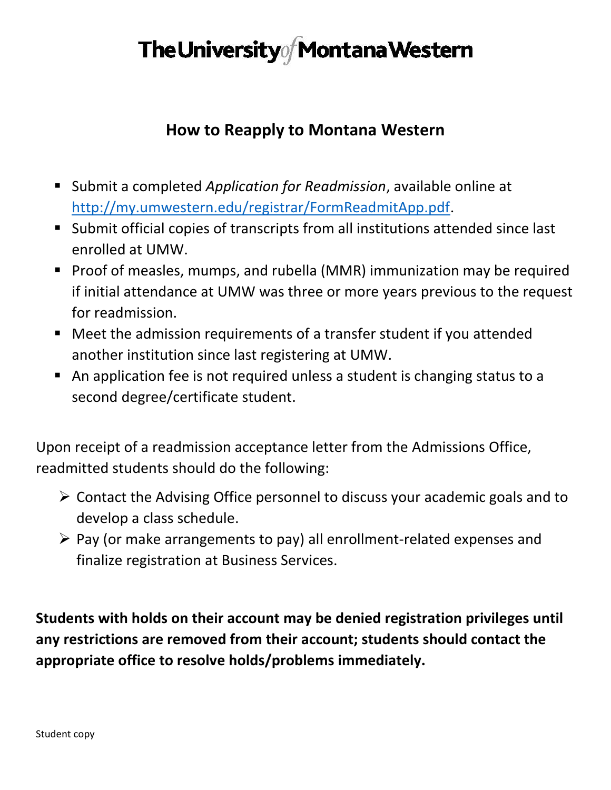## The University of Montana Western

### **How to Reapply to Montana Western**

- Submit a completed *Application for Readmission*, available online at [http://my.umwestern.edu/registrar/FormReadmitApp.pdf.](http://my.umwestern.edu/registrar/FormReadmitApp.pdf)
- Submit official copies of transcripts from all institutions attended since last enrolled at UMW.
- **Proof of measles, mumps, and rubella (MMR) immunization may be required** if initial attendance at UMW was three or more years previous to the request for readmission.
- Meet the admission requirements of a transfer student if you attended another institution since last registering at UMW.
- An application fee is not required unless a student is changing status to a second degree/certificate student.

Upon receipt of a readmission acceptance letter from the Admissions Office, readmitted students should do the following:

- $\triangleright$  Contact the Advising Office personnel to discuss your academic goals and to develop a class schedule.
- $\triangleright$  Pay (or make arrangements to pay) all enrollment-related expenses and finalize registration at Business Services.

**Students with holds on their account may be denied registration privileges until any restrictions are removed from their account; students should contact the appropriate office to resolve holds/problems immediately.**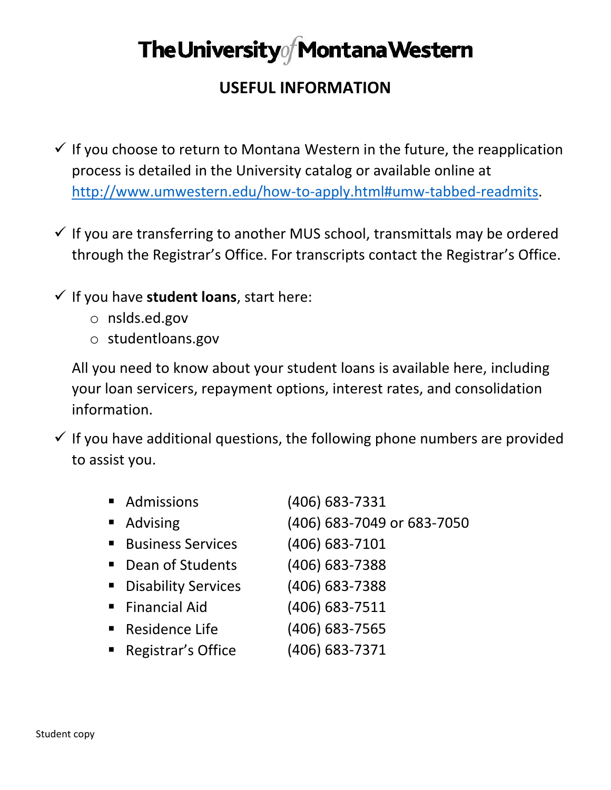## The University of Montana Western

### **USEFUL INFORMATION**

- $\checkmark$  If you choose to return to Montana Western in the future, the reapplication process is detailed in the University catalog or available online at [http://www.umwestern.edu/how-to-apply.html#umw-tabbed-readmits.](http://www.umwestern.edu/how-to-apply.html#umw-tabbed-readmits)
- $\checkmark$  If you are transferring to another MUS school, transmittals may be ordered through the Registrar's Office. For transcripts contact the Registrar's Office.
- $\checkmark$  If you have student loans, start here:
	- o nslds.ed.gov
	- o studentloans.gov

All you need to know about your student loans is available here, including your loan servicers, repayment options, interest rates, and consolidation information.

 $\checkmark$  If you have additional questions, the following phone numbers are provided to assist you.

|                | • Admissions             | (406) 683-7331             |
|----------------|--------------------------|----------------------------|
|                | • Advising               | (406) 683-7049 or 683-7050 |
|                | <b>Business Services</b> | (406) 683-7101             |
|                | • Dean of Students       | (406) 683-7388             |
|                | • Disability Services    | (406) 683-7388             |
|                | Financial Aid            | (406) 683-7511             |
|                | Residence Life           | (406) 683-7565             |
| $\blacksquare$ | Registrar's Office       | (406) 683-7371             |